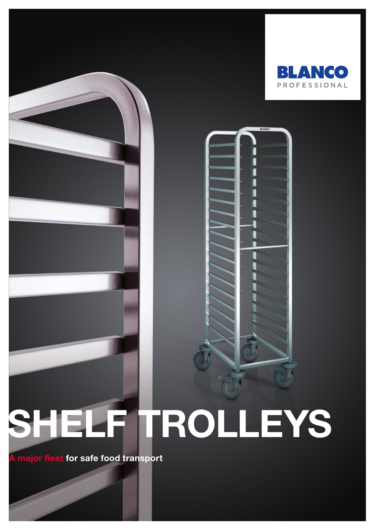



# SHELF TROLLEYS

major fleet for safe food transport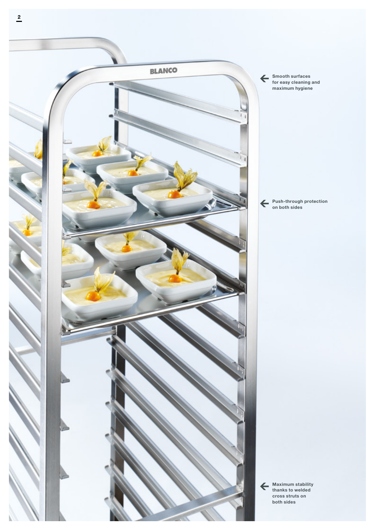

Smooth surfaces for easy cleaning and maximum hygiene

Push-through protection on both sides

Maximum stability thanks to welded cross struts on both sides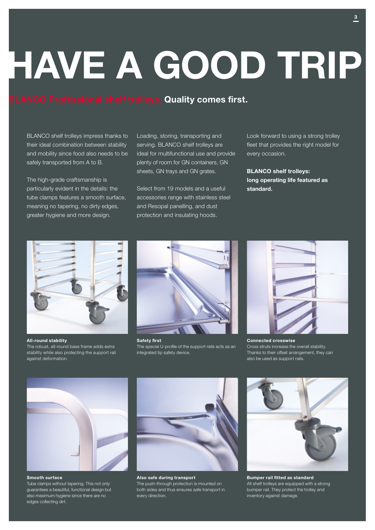# HAVE A GOOD TRIP

#### LANCO Professional shelf trolleys. Quality comes first.

BLANCO shelf trolleys impress thanks to their ideal combination between stability and mobility since food also needs to be safely transported from A to B.

The high-grade craftsmanship is particularly evident in the details: the tube clamps features a smooth surface, meaning no tapering, no dirty edges, greater hygiene and more design.

Loading, storing, transporting and serving. BLANCO shelf trolleys are ideal for multifunctional use and provide plenty of room for GN containers, GN sheets, GN trays and GN grates.

Select from 19 models and a useful accessories range with stainless steel and Resopal panelling, and dust protection and insulating hoods.

Look forward to using a strong trolley fleet that provides the right model for every occasion.

BLANCO shelf trolleys: long operating life featured as standard.



All-round stability The robust, all-round base frame adds extra stability while also protecting the support rail against deformation.



Safety first The special U-profile of the support rails acts as an integrated tip safety device.



Connected crosswise Cross struts increase the overall stability. Thanks to their offset arrangement, they can also be used as support rails.



Tube clamps without tapering. This not only guarantees a beautiful, functional design but also maximum hygiene since there are no edges collecting dirt.



Also safe during transport The push-through protection is mounted on both sides and thus ensures safe transport in every direction.



Bumper rail fitted as standard All shelf trolleys are equipped with a strong bumper rail. They protect the trolley and inventory against damage.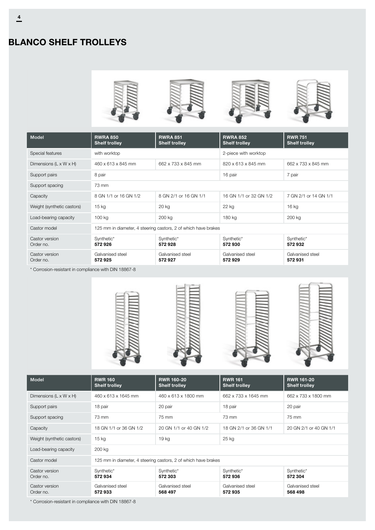### BLANCO SHELF TROLLEYS



| <b>Model</b>                       | <b>RWRA 850</b><br><b>Shelf trolley</b>                        | <b>RWRA 851</b><br><b>Shelf trolley</b> | <b>RWRA 852</b><br><b>Shelf trolley</b> | <b>RWR 751</b><br><b>Shelf trolley</b> |
|------------------------------------|----------------------------------------------------------------|-----------------------------------------|-----------------------------------------|----------------------------------------|
| Special features                   | with worktop                                                   |                                         | 2-piece with worktop                    |                                        |
| Dimensions $(L \times W \times H)$ | 460 x 613 x 845 mm                                             | 662 x 733 x 845 mm                      | 820 x 613 x 845 mm                      | 662 x 733 x 845 mm                     |
| Support pairs                      | 8 pair                                                         |                                         | 16 pair                                 | 7 pair                                 |
| Support spacing                    | 73 mm                                                          |                                         |                                         |                                        |
| Capacity                           | 8 GN 1/1 or 16 GN 1/2                                          | 8 GN 2/1 or 16 GN 1/1                   | 16 GN 1/1 or 32 GN 1/2                  | 7 GN 2/1 or 14 GN 1/1                  |
| Weight (synthetic castors)         | $15$ kg                                                        | 20 kg                                   | 22 kg                                   | 16 <sub>kg</sub>                       |
| Load-bearing capacity              | 100 kg                                                         | 200 kg                                  | 180 kg                                  | 200 kg                                 |
| Castor model                       | 125 mm in diameter, 4 steering castors, 2 of which have brakes |                                         |                                         |                                        |
| Castor version<br>Order no.        | Synthetic*<br>572926                                           | Synthetic*<br>572928                    | Synthetic*<br>572930                    | Synthetic*<br>572932                   |
| Castor version<br>Order no.        | Galvanised steel<br>572925                                     | Galvanised steel<br>572927              | Galvanised steel<br>572929              | Galvanised steel<br>572931             |

\* Corrosion-resistant in compliance with DIN 18867-8









| <b>Model</b>                       | <b>RWR 160</b><br><b>Shelf trolley</b>                         | <b>RWR 160-20</b><br><b>Shelf trolley</b> | <b>RWR 161</b><br><b>Shelf trolley</b> | <b>RWR 161-20</b><br><b>Shelf trolley</b> |  |
|------------------------------------|----------------------------------------------------------------|-------------------------------------------|----------------------------------------|-------------------------------------------|--|
| Dimensions $(L \times W \times H)$ | 460 x 613 x 1645 mm                                            | 460 x 613 x 1800 mm                       | 662 x 733 x 1645 mm                    | 662 x 733 x 1800 mm                       |  |
| Support pairs                      | 18 pair                                                        | 20 pair                                   | 18 pair                                | 20 pair                                   |  |
| Support spacing                    | 73 mm                                                          | 75 mm                                     | 73 mm                                  | 75 mm                                     |  |
| Capacity                           | 18 GN 1/1 or 36 GN 1/2                                         | 20 GN 1/1 or 40 GN 1/2                    | 18 GN 2/1 or 36 GN 1/1                 | 20 GN 2/1 or 40 GN 1/1                    |  |
| Weight (synthetic castors)         | 15 <sub>kg</sub>                                               | 19 kg                                     | 25 kg                                  |                                           |  |
| Load-bearing capacity              | 200 kg                                                         |                                           |                                        |                                           |  |
| Castor model                       | 125 mm in diameter, 4 steering castors, 2 of which have brakes |                                           |                                        |                                           |  |
| Castor version<br>Order no.        | Synthetic*<br>572934                                           | Synthetic*<br>572 303                     | Synthetic*<br>572936                   | Synthetic*<br>572 304                     |  |
| Castor version<br>Order no.        | Galvanised steel<br>572933                                     | Galvanised steel<br>568 497               | Galvanised steel<br>572935             | Galvanised steel<br>568 498               |  |

\* Corrosion-resistant in compliance with DIN 18867-8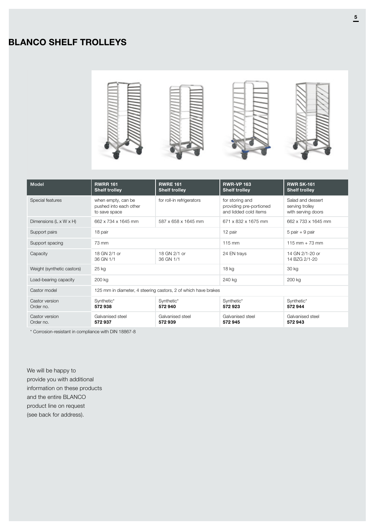#### BLANCO SHELF TROLLEYS









| <b>Model</b>                       | <b>RWRR 161</b><br><b>Shelf trolley</b>                        | <b>RWRE 161</b><br><b>Shelf trolley</b> | <b>RWR-VP 163</b><br><b>Shelf trolley</b>                           | <b>RWR SK-161</b><br><b>Shelf trolley</b>                  |
|------------------------------------|----------------------------------------------------------------|-----------------------------------------|---------------------------------------------------------------------|------------------------------------------------------------|
| Special features                   | when empty, can be<br>pushed into each other<br>to save space  | for roll-in refrigerators               | for storing and<br>providing pre-portioned<br>and lidded cold items | Salad and dessert<br>serving trolley<br>with serving doors |
| Dimensions $(L \times W \times H)$ | 662 x 734 x 1645 mm                                            | 587 x 658 x 1645 mm                     | 671 x 832 x 1675 mm                                                 | 662 x 733 x 1645 mm                                        |
| Support pairs                      | 18 pair                                                        |                                         | 12 pair                                                             | $5$ pair + 9 pair                                          |
| Support spacing                    | 73 mm                                                          |                                         | 115 mm                                                              | $115$ mm + 73 mm                                           |
| Capacity                           | 18 GN 2/1 or<br>36 GN 1/1                                      | 18 GN 2/1 or<br>36 GN 1/1               | 24 EN trays                                                         | 14 GN 2/1-20 or<br>14 BZG 2/1-20                           |
| Weight (synthetic castors)         | 25 kg                                                          |                                         | 18 kg                                                               | 30 kg                                                      |
| Load-bearing capacity              | 200 kg                                                         |                                         | 240 kg                                                              | 200 kg                                                     |
| Castor model                       | 125 mm in diameter, 4 steering castors, 2 of which have brakes |                                         |                                                                     |                                                            |
| Castor version<br>Order no.        | Synthetic*<br>572938                                           | Synthetic*<br>572940                    | Synthetic*<br>572923                                                | Synthetic*<br>572944                                       |
| Castor version<br>Order no.        | Galvanised steel<br>572937                                     | Galvanised steel<br>572939              | Galvanised steel<br>572945                                          | Galvanised steel<br>572943                                 |

\* Corrosion-resistant in compliance with DIN 18867-8

We will be happy to provide you with additional information on these products and the entire BLANCO product line on request (see back for address).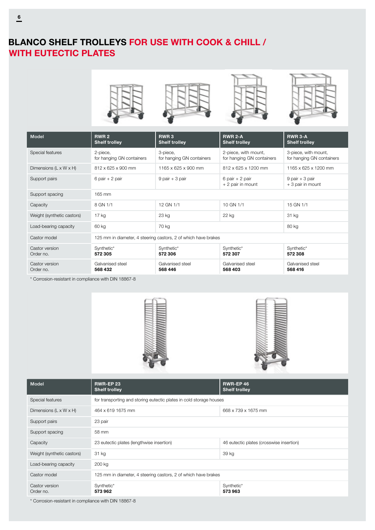### BLANCO SHELF TROLLEYS FOR USE WITH COOK & CHILL / WITH EUTECTIC PLATES









| <b>Model</b>                         | RWR <sub>2</sub><br><b>Shelf trolley</b>                       | RWR <sub>3</sub><br><b>Shelf trolley</b> | <b>RWR 2-A</b><br><b>Shelf trolley</b>            | <b>RWR 3-A</b><br><b>Shelf trolley</b>            |
|--------------------------------------|----------------------------------------------------------------|------------------------------------------|---------------------------------------------------|---------------------------------------------------|
| Special features                     | 2-piece,<br>for hanging GN containers                          | 3-piece,<br>for hanging GN containers    | 2-piece, with mount,<br>for hanging GN containers | 3-piece, with mount,<br>for hanging GN containers |
| Dimensions ( $L \times W \times H$ ) | 812 x 625 x 900 mm                                             | 1165 x 625 x 900 mm                      | 812 x 625 x 1200 mm                               | 1165 x 625 x 1200 mm                              |
| Support pairs                        | 6 pair $+2$ pair                                               | $9$ pair + 3 pair                        | 6 pair $+2$ pair<br>+ 2 pair in mount             | $9$ pair + $3$ pair<br>+ 3 pair in mount          |
| Support spacing                      | 165 mm                                                         |                                          |                                                   |                                                   |
| Capacity                             | 8 GN 1/1                                                       | 12 GN 1/1                                | 10 GN 1/1                                         | 15 GN 1/1                                         |
| Weight (synthetic castors)           | $17$ kg                                                        | 23 kg                                    | 22 kg                                             | 31 kg                                             |
| Load-bearing capacity                | 60 kg                                                          | 70 kg                                    |                                                   | 80 kg                                             |
| Castor model                         | 125 mm in diameter, 4 steering castors, 2 of which have brakes |                                          |                                                   |                                                   |
| Castor version<br>Order no.          | Synthetic*<br>572 305                                          | Synthetic*<br>572 306                    | Synthetic*<br>572 307                             | Synthetic*<br>572 308                             |
| Castor version<br>Order no.          | Galvanised steel<br>568 432                                    | Galvanised steel<br>568 446              | Galvanised steel<br>568 403                       | Galvanised steel<br>568 416                       |

\* Corrosion-resistant in compliance with DIN 18867-8





| <b>Model</b>                       | <b>RWR-EP 23</b><br><b>Shelf trolley</b>                            | <b>RWR-EP46</b><br><b>Shelf trolley</b>  |  |
|------------------------------------|---------------------------------------------------------------------|------------------------------------------|--|
| Special features                   | for transporting and storing eutectic plates in cold storage houses |                                          |  |
| Dimensions $(L \times W \times H)$ | 464 x 619 1675 mm                                                   | 668 x 739 x 1675 mm                      |  |
| Support pairs                      | 23 pair                                                             |                                          |  |
| Support spacing                    | 58 mm                                                               |                                          |  |
| Capacity                           | 23 eutectic plates (lengthwise insertion)                           | 46 eutectic plates (crosswise insertion) |  |
| Weight (synthetic castors)         | 31 kg                                                               | 39 kg                                    |  |
| Load-bearing capacity              | 200 kg                                                              |                                          |  |
| Castor model                       | 125 mm in diameter, 4 steering castors, 2 of which have brakes      |                                          |  |
| Castor version<br>Order no.        | Synthetic*<br>573962                                                | Synthetic*<br>573963                     |  |

\* Corrosion-resistant in compliance with DIN 18867-8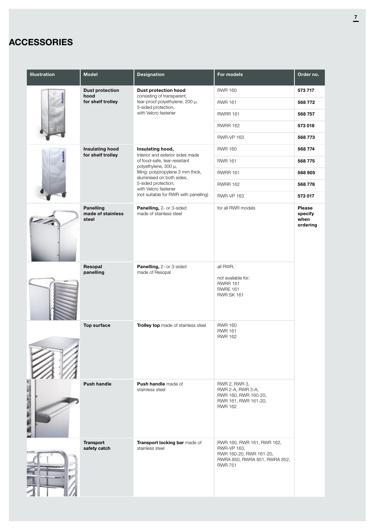## **ACCESSORIES**

| <b>Illustration</b> | <b>Model</b>                                        | <b>Designation</b>                                                                                                                                 | For models                                                                                                              | Order no.                             |
|---------------------|-----------------------------------------------------|----------------------------------------------------------------------------------------------------------------------------------------------------|-------------------------------------------------------------------------------------------------------------------------|---------------------------------------|
|                     | <b>Dust protection</b><br>hood<br>for shelf trolley | <b>Dust protection hood</b><br>consisting of transparent,<br>tear-proof polyethylene, 200 µ,<br>5-sided protection,<br>with Velcro fastener        | <b>RWR 160</b>                                                                                                          | 573717                                |
|                     |                                                     |                                                                                                                                                    | <b>RWR 161</b>                                                                                                          | 568772                                |
|                     |                                                     |                                                                                                                                                    | <b>RWRR 161</b>                                                                                                         | 568 757                               |
|                     |                                                     |                                                                                                                                                    | <b>RWRR 162</b>                                                                                                         | 573018                                |
|                     |                                                     |                                                                                                                                                    | <b>RWR-VP 163</b>                                                                                                       | 568773                                |
|                     | <b>Insulating hood</b><br>for shelf trolley         | Insulating hood,<br>interior and exterior sides made<br>of food-safe, tear-resistant<br>polyethylene, 300 µ,<br>filling: polypropylene 3 mm thick, | <b>RWR 160</b>                                                                                                          | 568 774                               |
|                     |                                                     |                                                                                                                                                    | <b>RWR 161</b>                                                                                                          | 568775                                |
|                     |                                                     |                                                                                                                                                    | <b>RWRR 161</b>                                                                                                         | 568 905                               |
|                     |                                                     | aluminised on both sides,<br>5-sided protection,<br>with Velcro fastener                                                                           | <b>RWRR 162</b>                                                                                                         | 568776                                |
|                     |                                                     | (not suitable for RWR with panelling)                                                                                                              | <b>RWR-VP 163</b>                                                                                                       | 573017                                |
|                     | <b>Panelling</b><br>made of stainless<br>steel      | Panelling, 2- or 3-sided<br>made of stainless steel                                                                                                | for all RWR models                                                                                                      | Please<br>specify<br>when<br>ordering |
|                     | Resopal<br>panelling                                | Panelling, 2- or 3-sided<br>made of Resopal                                                                                                        | all RWR,<br>not available for:<br><b>RWRR 161</b><br><b>RWRE 161</b><br><b>RWR SK 161</b>                               |                                       |
| こうしょう               | <b>Top surface</b>                                  | Trolley top made of stainless steel                                                                                                                | <b>RWR 160</b><br><b>RWR 161</b><br><b>RWR 162</b>                                                                      |                                       |
|                     | <b>Push handle</b>                                  | Push handle made of<br>stainless steel                                                                                                             | RWR 2, RWR 3,<br>RWR 2-A, RWR 3-A,<br>RWR 160, RWR 160-20,<br>RWR 161, RWR 161-20,<br><b>RWR 162</b>                    |                                       |
|                     | <b>Transport</b><br>safety catch                    | Transport locking bar made of<br>stainless steel                                                                                                   | RWR 160, RWR 161, RWR 162,<br>RWR-VP 163,<br>RWR 160-20, RWR 161-20,<br>RWRA 850, RWRA 851, RWRA 852,<br><b>RWR 751</b> |                                       |